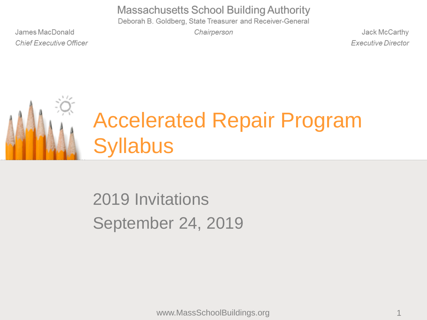**Massachusetts School Building Authority** 

Deborah B. Goldberg, State Treasurer and Receiver-General

James MacDonald **Chief Executive Officer**  Chairperson

Jack McCarthy **Executive Director** 



### Accelerated Repair Program **Syllabus**

### 2019 Invitations September 24, 2019

www.MassSchoolBuildings.org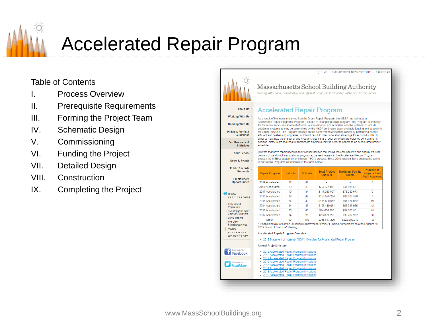

### Accelerated Repair Program

#### Table of Contents

- **Process Overview**
- II. Prerequisite Requirements
- III. Forming the Project Team
- IV. Schematic Design
- V. Commissioning
- VI. Funding the Project
- VII. Detailed Design
- VIII. Construction
- IX. Completing the Project

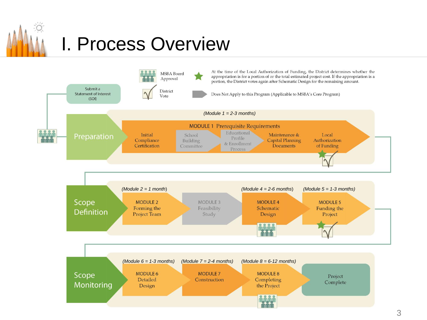

### I. Process Overview

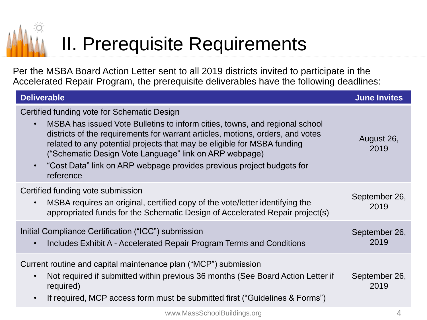# II. Prerequisite Requirements

Per the MSBA Board Action Letter sent to all 2019 districts invited to participate in the Accelerated Repair Program, the prerequisite deliverables have the following deadlines:

| <b>Deliverable</b>                                                                                                                                                                                                                                                                                                                                                                                                                                                | <b>June Invites</b>   |
|-------------------------------------------------------------------------------------------------------------------------------------------------------------------------------------------------------------------------------------------------------------------------------------------------------------------------------------------------------------------------------------------------------------------------------------------------------------------|-----------------------|
| Certified funding vote for Schematic Design<br>MSBA has issued Vote Bulletins to inform cities, towns, and regional school<br>$\bullet$<br>districts of the requirements for warrant articles, motions, orders, and votes<br>related to any potential projects that may be eligible for MSBA funding<br>("Schematic Design Vote Language" link on ARP webpage)<br>"Cost Data" link on ARP webpage provides previous project budgets for<br>$\bullet$<br>reference | August 26,<br>2019    |
| Certified funding vote submission<br>MSBA requires an original, certified copy of the vote/letter identifying the<br>$\bullet$<br>appropriated funds for the Schematic Design of Accelerated Repair project(s)                                                                                                                                                                                                                                                    | September 26,<br>2019 |
| Initial Compliance Certification ("ICC") submission<br>Includes Exhibit A - Accelerated Repair Program Terms and Conditions                                                                                                                                                                                                                                                                                                                                       | September 26,<br>2019 |
| Current routine and capital maintenance plan ("MCP") submission<br>Not required if submitted within previous 36 months (See Board Action Letter if<br>$\bullet$<br>required)<br>If required, MCP access form must be submitted first ("Guidelines & Forms")<br>$\bullet$                                                                                                                                                                                          | September 26,<br>2019 |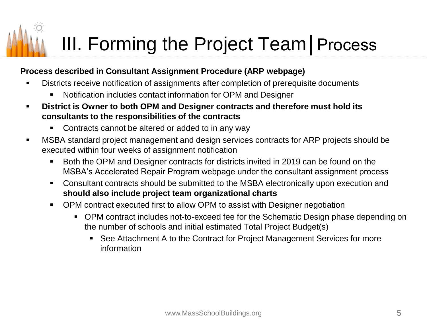# III. Forming the Project Team│Process

#### **Process described in Consultant Assignment Procedure (ARP webpage)**

- Districts receive notification of assignments after completion of prerequisite documents
	- Notification includes contact information for OPM and Designer
- **District is Owner to both OPM and Designer contracts and therefore must hold its consultants to the responsibilities of the contracts**
	- Contracts cannot be altered or added to in any way
- MSBA standard project management and design services contracts for ARP projects should be executed within four weeks of assignment notification
	- Both the OPM and Designer contracts for districts invited in 2019 can be found on the MSBA's Accelerated Repair Program webpage under the consultant assignment process
	- Consultant contracts should be submitted to the MSBA electronically upon execution and **should also include project team organizational charts**
	- OPM contract executed first to allow OPM to assist with Designer negotiation
		- OPM contract includes not-to-exceed fee for the Schematic Design phase depending on the number of schools and initial estimated Total Project Budget(s)
			- See Attachment A to the Contract for Project Management Services for more information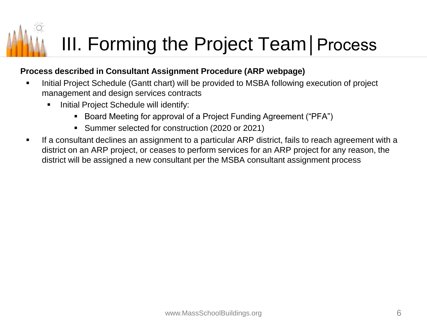# III. Forming the Project Team│Process

#### **Process described in Consultant Assignment Procedure (ARP webpage)**

- Initial Project Schedule (Gantt chart) will be provided to MSBA following execution of project management and design services contracts
	- **■** Initial Project Schedule will identify:
		- Board Meeting for approval of a Project Funding Agreement ("PFA")
		- Summer selected for construction (2020 or 2021)
- **EXT** If a consultant declines an assignment to a particular ARP district, fails to reach agreement with a district on an ARP project, or ceases to perform services for an ARP project for any reason, the district will be assigned a new consultant per the MSBA consultant assignment process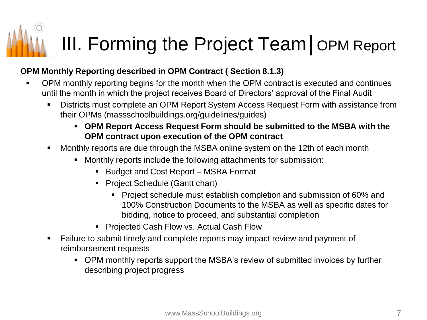# III. Forming the Project Team│OPM Report

#### **OPM Monthly Reporting described in OPM Contract ( Section 8.1.3)**

- OPM monthly reporting begins for the month when the OPM contract is executed and continues until the month in which the project receives Board of Directors' approval of the Final Audit
	- **EXEDENT PERST PERITHER 19 ISS THE PERITHM PREPORT PERITHM** FOR Districts must complete an OPM Report System Access Request Form with assistance from their OPMs (massschoolbuildings.org/guidelines/guides)
		- **OPM Report Access Request Form should be submitted to the MSBA with the OPM contract upon execution of the OPM contract**
	- Monthly reports are due through the MSBA online system on the 12th of each month
		- Monthly reports include the following attachments for submission:
			- Budget and Cost Report MSBA Format
			- Project Schedule (Gantt chart)
				- Project schedule must establish completion and submission of 60% and 100% Construction Documents to the MSBA as well as specific dates for bidding, notice to proceed, and substantial completion
			- Projected Cash Flow vs. Actual Cash Flow
	- Failure to submit timely and complete reports may impact review and payment of reimbursement requests
		- OPM monthly reports support the MSBA's review of submitted invoices by further describing project progress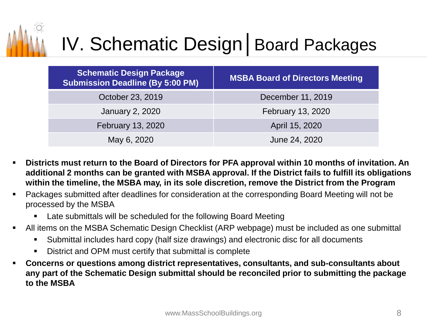

### IV. Schematic Design│Board Packages

| <b>Schematic Design Package</b><br><b>Submission Deadline (By 5:00 PM)</b> | <b>MSBA Board of Directors Meeting</b> |
|----------------------------------------------------------------------------|----------------------------------------|
| October 23, 2019                                                           | December 11, 2019                      |
| <b>January 2, 2020</b>                                                     | February 13, 2020                      |
| February 13, 2020                                                          | April 15, 2020                         |
| May 6, 2020                                                                | June 24, 2020                          |

- Districts must return to the Board of Directors for PFA approval within 10 months of invitation. An **additional 2 months can be granted with MSBA approval. If the District fails to fulfill its obligations within the timeline, the MSBA may, in its sole discretion, remove the District from the Program**
- Packages submitted after deadlines for consideration at the corresponding Board Meeting will not be processed by the MSBA
	- Late submittals will be scheduled for the following Board Meeting
- All items on the MSBA Schematic Design Checklist (ARP webpage) must be included as one submittal
	- Submittal includes hard copy (half size drawings) and electronic disc for all documents
	- District and OPM must certify that submittal is complete
- **Concerns or questions among district representatives, consultants, and sub-consultants about any part of the Schematic Design submittal should be reconciled prior to submitting the package to the MSBA**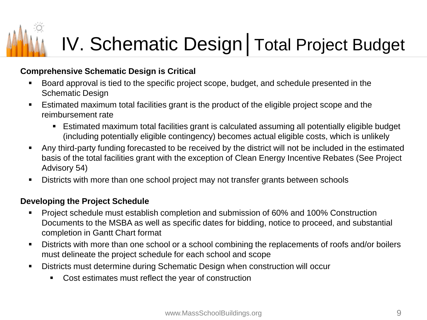#### **Comprehensive Schematic Design is Critical**

- Board approval is tied to the specific project scope, budget, and schedule presented in the Schematic Design
- **E** Estimated maximum total facilities grant is the product of the eligible project scope and the reimbursement rate
	- Estimated maximum total facilities grant is calculated assuming all potentially eligible budget (including potentially eligible contingency) becomes actual eligible costs, which is unlikely
- Any third-party funding forecasted to be received by the district will not be included in the estimated basis of the total facilities grant with the exception of Clean Energy Incentive Rebates (See Project Advisory 54)
- **EXTED FIGHT Designal Exercise in Section 1** Districts with more than one schools **FIGHT** Districts with more than one schools

#### **Developing the Project Schedule**

- Project schedule must establish completion and submission of 60% and 100% Construction Documents to the MSBA as well as specific dates for bidding, notice to proceed, and substantial completion in Gantt Chart format
- Districts with more than one school or a school combining the replacements of roofs and/or boilers must delineate the project schedule for each school and scope
- Districts must determine during Schematic Design when construction will occur
	- Cost estimates must reflect the year of construction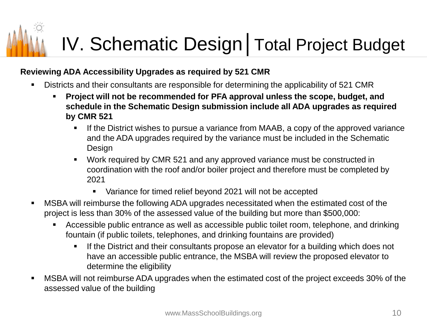#### **Reviewing ADA Accessibility Upgrades as required by 521 CMR**

- **•** Districts and their consultants are responsible for determining the applicability of 521 CMR
	- **Project will not be recommended for PFA approval unless the scope, budget, and schedule in the Schematic Design submission include all ADA upgrades as required by CMR 521**
		- **E** If the District wishes to pursue a variance from MAAB, a copy of the approved variance and the ADA upgrades required by the variance must be included in the Schematic Design
		- Work required by CMR 521 and any approved variance must be constructed in coordination with the roof and/or boiler project and therefore must be completed by 2021
			- Variance for timed relief beyond 2021 will not be accepted
- MSBA will reimburse the following ADA upgrades necessitated when the estimated cost of the project is less than 30% of the assessed value of the building but more than \$500,000:
	- **EXP** Accessible public entrance as well as accessible public toilet room, telephone, and drinking fountain (if public toilets, telephones, and drinking fountains are provided)
		- If the District and their consultants propose an elevator for a building which does not have an accessible public entrance, the MSBA will review the proposed elevator to determine the eligibility
- MSBA will not reimburse ADA upgrades when the estimated cost of the project exceeds 30% of the assessed value of the building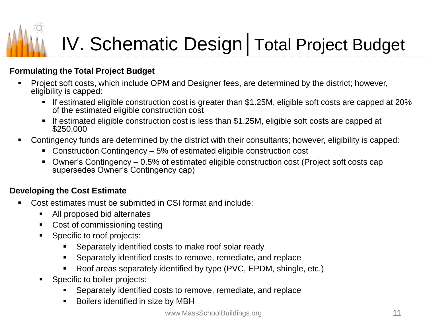#### **Formulating the Total Project Budget**

- Project soft costs, which include OPM and Designer fees, are determined by the district; however, eligibility is capped:
	- If estimated eligible construction cost is greater than \$1.25M, eligible soft costs are capped at 20% of the estimated eligible construction cost
	- If estimated eligible construction cost is less than \$1.25M, eligible soft costs are capped at \$250,000
- Contingency funds are determined by the district with their consultants; however, eligibility is capped:
	- Construction Contingency 5% of estimated eligible construction cost
	- Owner's Contingency 0.5% of estimated eligible construction cost (Project soft costs cap supersedes Owner's Contingency cap)

#### **Developing the Cost Estimate**

- Cost estimates must be submitted in CSI format and include:
	- All proposed bid alternates
	- Cost of commissioning testing
	- Specific to roof projects:
		- Separately identified costs to make roof solar ready
		- Separately identified costs to remove, remediate, and replace
		- Roof areas separately identified by type (PVC, EPDM, shingle, etc.)
	- Specific to boiler projects:
		- Separately identified costs to remove, remediate, and replace
		- Boilers identified in size by MBH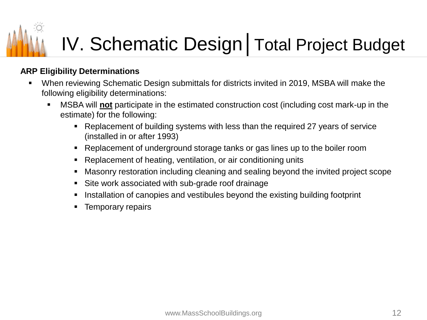#### **ARP Eligibility Determinations**

- When reviewing Schematic Design submittals for districts invited in 2019, MSBA will make the following eligibility determinations:
	- MSBA will **not** participate in the estimated construction cost (including cost mark-up in the estimate) for the following:
		- Replacement of building systems with less than the required 27 years of service (installed in or after 1993)
		- Replacement of underground storage tanks or gas lines up to the boiler room
		- Replacement of heating, ventilation, or air conditioning units
		- Masonry restoration including cleaning and sealing beyond the invited project scope
		- Site work associated with sub-grade roof drainage
		- Installation of canopies and vestibules beyond the existing building footprint
		- **Temporary repairs**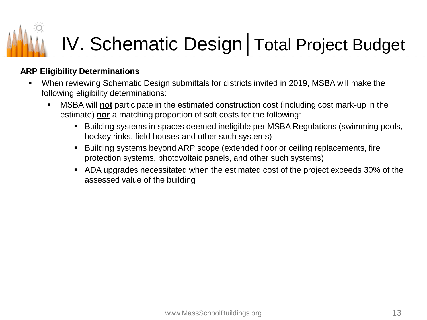#### **ARP Eligibility Determinations**

- When reviewing Schematic Design submittals for districts invited in 2019, MSBA will make the following eligibility determinations:
	- MSBA will **not** participate in the estimated construction cost (including cost mark-up in the estimate) **nor** a matching proportion of soft costs for the following:
		- Building systems in spaces deemed ineligible per MSBA Regulations (swimming pools, hockey rinks, field houses and other such systems)
		- Building systems beyond ARP scope (extended floor or ceiling replacements, fire protection systems, photovoltaic panels, and other such systems)
		- ADA upgrades necessitated when the estimated cost of the project exceeds 30% of the assessed value of the building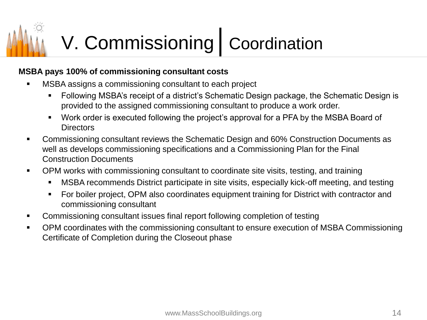## V. Commissioning│Coordination

#### **MSBA pays 100% of commissioning consultant costs**

- MSBA assigns a commissioning consultant to each project
	- Following MSBA's receipt of a district's Schematic Design package, the Schematic Design is provided to the assigned commissioning consultant to produce a work order.
	- Work order is executed following the project's approval for a PFA by the MSBA Board of **Directors**
- Commissioning consultant reviews the Schematic Design and 60% Construction Documents as well as develops commissioning specifications and a Commissioning Plan for the Final Construction Documents
- OPM works with commissioning consultant to coordinate site visits, testing, and training
	- **■** MSBA recommends District participate in site visits, especially kick-off meeting, and testing
	- **For boiler project, OPM also coordinates equipment training for District with contractor and** commissioning consultant
- Commissioning consultant issues final report following completion of testing
- OPM coordinates with the commissioning consultant to ensure execution of MSBA Commissioning Certificate of Completion during the Closeout phase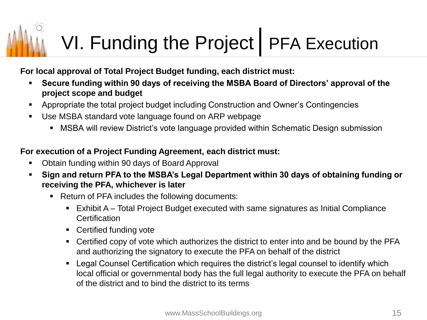## VI. Funding the Project | PFA Execution

#### **For local approval of Total Project Budget funding, each district must:**

- **Secure funding within 90 days of receiving the MSBA Board of Directors' approval of the project scope and budget**
- Appropriate the total project budget including Construction and Owner's Contingencies
- Use MSBA standard vote language found on ARP webpage
	- MSBA will review District's vote language provided within Schematic Design submission

#### **For execution of a Project Funding Agreement, each district must:**

- Obtain funding within 90 days of Board Approval
- Sign and return PFA to the MSBA's Legal Department within 30 days of obtaining funding or **receiving the PFA, whichever is later**
	- Return of PFA includes the following documents:
		- Exhibit A Total Project Budget executed with same signatures as Initial Compliance **Certification**
		- Certified funding vote
		- Certified copy of vote which authorizes the district to enter into and be bound by the PFA and authorizing the signatory to execute the PFA on behalf of the district
		- Legal Counsel Certification which requires the district's legal counsel to identify which local official or governmental body has the full legal authority to execute the PFA on behalf of the district and to bind the district to its terms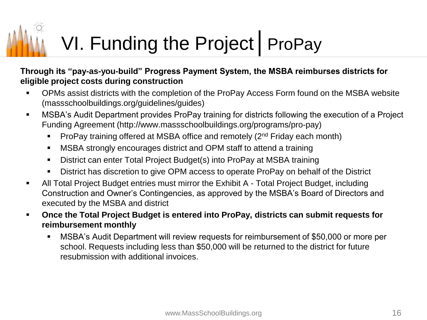# VI. Funding the Project | ProPay

#### **Through its "pay-as-you-build" Progress Payment System, the MSBA reimburses districts for eligible project costs during construction**

- OPMs assist districts with the completion of the ProPay Access Form found on the MSBA website (massschoolbuildings.org/guidelines/guides)
- **■** MSBA's Audit Department provides ProPay training for districts following the execution of a Project Funding Agreement (http://www.massschoolbuildings.org/programs/pro-pay)
	- **ProPay training offered at MSBA office and remotely (** $2<sup>nd</sup>$  **Friday each month)**
	- MSBA strongly encourages district and OPM staff to attend a training
	- District can enter Total Project Budget(s) into ProPay at MSBA training
	- District has discretion to give OPM access to operate ProPay on behalf of the District
- **All Total Project Budget entries must mirror the Exhibit A Total Project Budget, including** Construction and Owner's Contingencies, as approved by the MSBA's Board of Directors and executed by the MSBA and district
- **Once the Total Project Budget is entered into ProPay, districts can submit requests for reimbursement monthly**
	- MSBA's Audit Department will review requests for reimbursement of \$50,000 or more per school. Requests including less than \$50,000 will be returned to the district for future resubmission with additional invoices.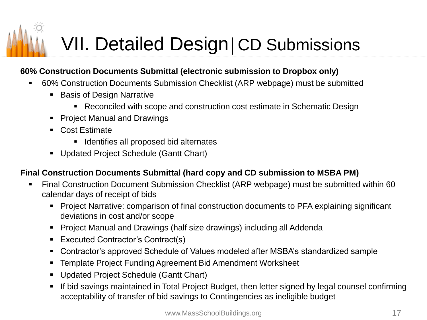## VII. Detailed Design | CD Submissions

#### **60% Construction Documents Submittal (electronic submission to Dropbox only)**

- 60% Construction Documents Submission Checklist (ARP webpage) must be submitted
	- Basis of Design Narrative
		- Reconciled with scope and construction cost estimate in Schematic Design
	- Project Manual and Drawings
	- Cost Estimate
		- Identifies all proposed bid alternates
	- Updated Project Schedule (Gantt Chart)

#### **Final Construction Documents Submittal (hard copy and CD submission to MSBA PM)**

- Final Construction Document Submission Checklist (ARP webpage) must be submitted within 60 calendar days of receipt of bids
	- Project Narrative: comparison of final construction documents to PFA explaining significant deviations in cost and/or scope
	- Project Manual and Drawings (half size drawings) including all Addenda
	- Executed Contractor's Contract(s)
	- Contractor's approved Schedule of Values modeled after MSBA's standardized sample
	- Template Project Funding Agreement Bid Amendment Worksheet
	- **Updated Project Schedule (Gantt Chart)**
	- **•** If bid savings maintained in Total Project Budget, then letter signed by legal counsel confirming acceptability of transfer of bid savings to Contingencies as ineligible budget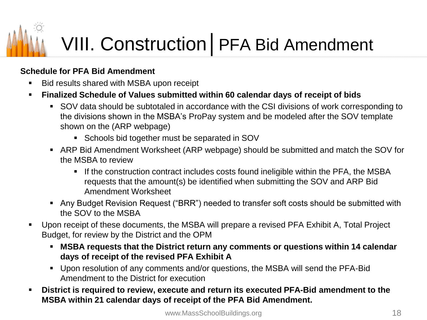# VIII. Construction | PFA Bid Amendment

#### **Schedule for PFA Bid Amendment**

- Bid results shared with MSBA upon receipt
- **Finalized Schedule of Values submitted within 60 calendar days of receipt of bids**
	- SOV data should be subtotaled in accordance with the CSI divisions of work corresponding to the divisions shown in the MSBA's ProPay system and be modeled after the SOV template shown on the (ARP webpage)
		- Schools bid together must be separated in SOV
	- ARP Bid Amendment Worksheet (ARP webpage) should be submitted and match the SOV for the MSBA to review
		- **■** If the construction contract includes costs found ineligible within the PFA, the MSBA requests that the amount(s) be identified when submitting the SOV and ARP Bid Amendment Worksheet
	- Any Budget Revision Request ("BRR") needed to transfer soft costs should be submitted with the SOV to the MSBA
- Upon receipt of these documents, the MSBA will prepare a revised PFA Exhibit A, Total Project Budget, for review by the District and the OPM
	- **MSBA requests that the District return any comments or questions within 14 calendar days of receipt of the revised PFA Exhibit A**
	- Upon resolution of any comments and/or questions, the MSBA will send the PFA-Bid Amendment to the District for execution
- **District is required to review, execute and return its executed PFA-Bid amendment to the MSBA within 21 calendar days of receipt of the PFA Bid Amendment.**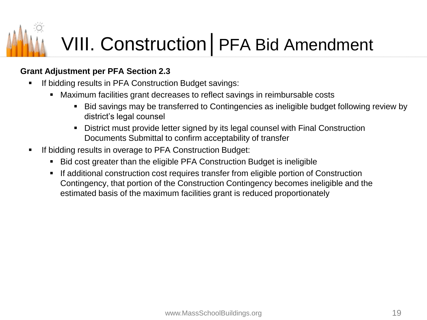## VIII. Construction | PFA Bid Amendment

#### **Grant Adjustment per PFA Section 2.3**

- If bidding results in PFA Construction Budget savings:
	- Maximum facilities grant decreases to reflect savings in reimbursable costs
		- Bid savings may be transferred to Contingencies as ineligible budget following review by district's legal counsel
		- District must provide letter signed by its legal counsel with Final Construction Documents Submittal to confirm acceptability of transfer
- If bidding results in overage to PFA Construction Budget:
	- Bid cost greater than the eligible PFA Construction Budget is ineligible
	- **■** If additional construction cost requires transfer from eligible portion of Construction Contingency, that portion of the Construction Contingency becomes ineligible and the estimated basis of the maximum facilities grant is reduced proportionately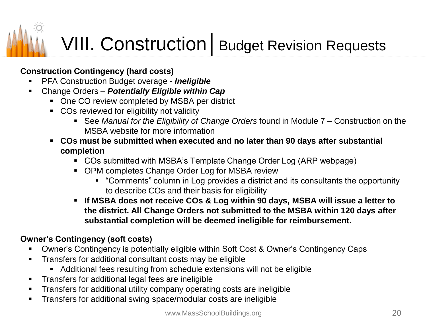## VIII. Construction | Budget Revision Requests

#### **Construction Contingency (hard costs)**

- **PFA Construction Budget overage Ineligible**
- Change Orders *Potentially Eligible within Cap*
	- One CO review completed by MSBA per district
	- COs reviewed for eligibility not validity
		- See *Manual for the Eligibility of Change Orders* found in Module 7 Construction on the MSBA website for more information
	- **COs must be submitted when executed and no later than 90 days after substantial completion**
		- COs submitted with MSBA's Template Change Order Log (ARP webpage)
		- OPM completes Change Order Log for MSBA review
			- "Comments" column in Log provides a district and its consultants the opportunity to describe COs and their basis for eligibility
		- **If MSBA does not receive COs & Log within 90 days, MSBA will issue a letter to the district. All Change Orders not submitted to the MSBA within 120 days after substantial completion will be deemed ineligible for reimbursement.**

#### **Owner's Contingency (soft costs)**

- Owner's Contingency is potentially eligible within Soft Cost & Owner's Contingency Caps
- **•** Transfers for additional consultant costs may be eligible
	- Additional fees resulting from schedule extensions will not be eligible
- **Transfers for additional legal fees are ineligible**
- **•** Transfers for additional utility company operating costs are ineligible
- **EXECT** Transfers for additional swing space/modular costs are ineligible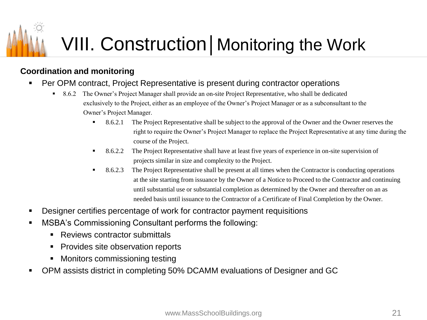### VIII. Construction | Monitoring the Work

#### **Coordination and monitoring**

- **Per OPM contract, Project Representative is present during contractor operations** 
	- 8.6.2 The Owner's Project Manager shall provide an on-site Project Representative, who shall be dedicated exclusively to the Project, either as an employee of the Owner's Project Manager or as a subconsultant to the Owner's Project Manager.
		- 8.6.2.1 The Project Representative shall be subject to the approval of the Owner and the Owner reserves the right to require the Owner's Project Manager to replace the Project Representative at any time during the course of the Project.
		- 8.6.2.2 The Project Representative shall have at least five years of experience in on-site supervision of projects similar in size and complexity to the Project.
		- 8.6.2.3 The Project Representative shall be present at all times when the Contractor is conducting operations at the site starting from issuance by the Owner of a Notice to Proceed to the Contractor and continuing until substantial use or substantial completion as determined by the Owner and thereafter on an as needed basis until issuance to the Contractor of a Certificate of Final Completion by the Owner.
- Designer certifies percentage of work for contractor payment requisitions
- MSBA's Commissioning Consultant performs the following:
	- Reviews contractor submittals
	- Provides site observation reports
	- Monitors commissioning testing
- OPM assists district in completing 50% DCAMM evaluations of Designer and GC